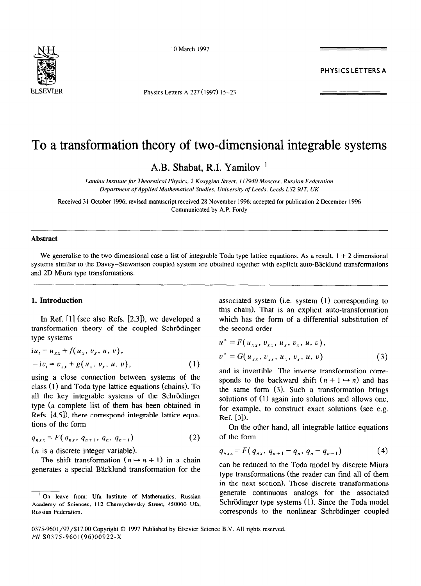

10 March 1997

Physics Letters A 227 (1997) 15-23

# **PHYSICS LETTERS A**

# To a transformation theory of two-dimensional integrable systems

A.B. Shabat, R.I. Yamilov '

Landau Institute for Theoretical Physics, 2 Kosygina Street. 117940 Moscow, Russian Federation *Depurtment of Applied Mathematical Studies. University of Leeds. Leeds LS2 9JT. UK* 

Received 31 October 1996; revised manuscript received 28 November 1996; accepted for publication 2 December 1996 Communicated by A.P. Fordy

#### **Abstract**

We generalise to the two-dimensional case a list of integrable Toda type lattice equations. As a result,  $1 + 2$  dimensional systems similar to the Davey-Stewartson coupled system are obtained together with explicit auto-Bäcklund transformations and 2D Miura type transformations.

#### **1. Introduction**

In Ref. [l] (see also Refs. [2,3]), we developed a transformation theory of the coupled Schrödinger type systems

$$
i u_{t} = u_{xx} + f(u_{x}, v_{x}, u, v),
$$
  
- i v\_{t} = v\_{xx} + g(u\_{x}, v\_{x}, u, v), (1)

using a close connection between systems of the class (1) and Toda type lattice equations (chains). To all the key integrable systems of the Schrödinger type (a complete list of them has been obtained in Refs.  $[4,5]$ ), there correspond integrable lattice equations of the form

$$
q_{n \times x} = F(q_{n \times}, q_{n+1}, q_n, q_{n-1}) \tag{2}
$$

 $(n$  is a discrete integer variable).

The shift transformation  $(n \rightarrow n + 1)$  in a chain generates a special Backlund transformation for the

associated system (i.e. system (1) corresponding to this chain). That is an explicit auto-transformation which has the form of a differential substitution of the second order

$$
u^* = F(u_{xx}, v_{xx}, u_x, v_x, u, v),
$$
  
\n
$$
v^* = G(u_{xx}, v_{xx}, u_x, v_x, u, v)
$$
 (3)

and is invertible. The inverse transformation corresponds to the backward shift  $(n + 1 \rightarrow n)$  and has the same form (3). Such a transformation brings solutions of (1) again into solutions and allows one, for example, to construct exact solutions (see e.g. Ref. [3]).

On the other hand, all integrable lattice equations of the form

$$
q_{nxx} = F(q_{nx}, q_{n+1} - q_n, q_n - q_{n-1}) \tag{4}
$$

can be reduced to the Toda model by discrete Miura type transformations (the reader can find all of them in the next section). Those discrete transformations generate continuous analogs for the associated Schrödinger type systems (1). Since the Toda model corresponds to the nonlinear Schrödinger coupled

0375-9601/97/\$17.00 Copyright © 1997 Published by Elsevier Science B.V. All rights reserved. *PII* SO375-9601(96)00922-X

On leave from: Ufa Institute of Mathematics, Russian Academy of **Sciences,** 112 Chemyshevsky Street, 450000 Ufa, Russian Federation.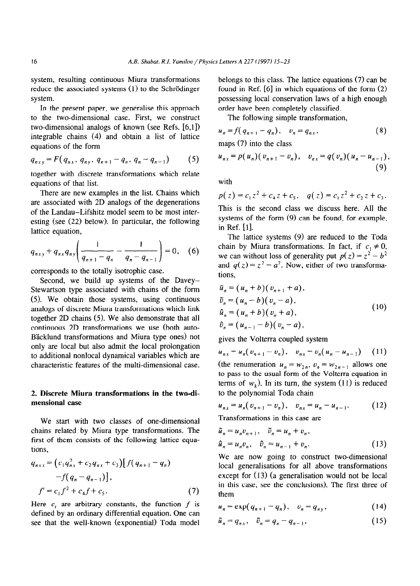system, resulting continuous Miura transformations reduce the associated systems (1) to the Schrödinger system.

In the present paper, we generalise this approach to the two-dimensional case. First, we construct two-dimensional analogs of known (see Refs. [6,1]) integrable chains (4) and obtain a list of lattice equations of the form

$$
q_{nxy} = F(q_{nx}, q_{ny}, q_{n+1} - q_n, q_n - q_{n-1})
$$
 (5)

together with discrete transformations which relate equations of that list.

There are new examples in the list. Chains which are associated with 2D analogs of the degenerations of the Landau-Lifshitz model seem to be most interesting (see (22) below). In particular, the following lattice equation,

$$
q_{nxy} + q_{nx}q_{ny}\left(\frac{1}{q_{n+1} - q_n} - \frac{1}{q_n - q_{n-1}}\right) = 0, \quad (6)
$$

corresponds to the totally isotrophic case.

Second, we build up systems of the Davey-Stewartson type associated with chains of the form (5). We obtain those systems, using continuous analogs of discrete Miura transformations which link together 2D chains (5). We also demonstrate that all continuous 2D transformations we use (both auto-Bäcklund transformations and Miura type ones) not only are local but also admit the local prolongation to additional nonlocal dynamical variables which are characteristic features of the multi-dimensional case.

## 2. **Discrete Miura transformations in the two-dimensional case**

We start with two classes of one-dimensional chains related by Miura type transformations. The first of them consists of the following lattice equations,

$$
q_{nxx} = (c_1 q_{nx}^2 + c_2 q_{nx} + c_3) [f(q_{n+1} - q_n)
$$
  
-f(q\_n - q\_{n-1})],  

$$
f' = c_1 f^2 + c_4 f + c_5.
$$
 (7)

Here  $c_i$  are arbitrary constants, the function f is defined by an ordinary differential equation. One can see that the well-known (exponential) Toda model belongs to this class. The lattice equations (7) can be found in Ref. [6] in which equations of the form (2) possessing local conservation laws of a high enough order have been completely classified.

The following simple transformation,

$$
u_n = f(q_{n+1} - q_n), \quad v_n = q_{n,x},
$$
  
\nmaps (7) into the class

$$
u_{n} = p(u_n)(v_{n+1} - v_n), \quad v_{n} = q(v_n)(u_n - u_{n-1}),
$$
\n(9)

with

$$
p(z) = c_1 z^2 + c_4 z + c_5, \quad q(z) = c_1 z^2 + c_2 z + c_3.
$$

This is the second class we discuss here. All the systems of the form (9) can be found, for example, in Ref. [l].

The lattice systems (9) are reduced to the Toda chain by Miura transformations. In fact, if  $c_1 \neq 0$ , we can without loss of generality put  $p(z) = z^2 - b^2$ and  $q(z) = z^2 - a^2$ . Now, either of two transformations,

$$
\tilde{u}_n = (u_n + b)(v_{n+1} + a),\n\tilde{v}_n = (u_n - b)(v_n - a),\n\hat{u}_n = (u_n + b)(v_n + a),\n\tilde{v}_n = (u_{n-1} - b)(v_n - a),
$$
\n(10)

gives the Volterra coupled system

$$
u_{n,x} = u_n(v_{n+1} - v_n), \quad v_{n,x} = v_n(u_n - u_{n-1}) \qquad (11)
$$

(the renumeration  $u_n = w_{2n}$ ,  $v_n = w_{2n-1}$  allows one to pass to the usual form of the Volterra equation in terms of  $w_k$ ). In its turn, the system (11) is reduced to the polynomial Toda chain

$$
u_{nx} = u_n (v_{n+1} - v_n), \quad v_{nx} = u_n - u_{n-1}.
$$
 (12)

Transformations in this case are

$$
\tilde{u}_n = u_n v_{n+1}, \quad \tilde{v}_n = u_n + v_n,
$$
  
\n
$$
\hat{u}_n = u_n v_n, \quad \hat{v}_n = u_{n-1} + v_n.
$$
\n(13)

We are now going to construct two-dimensional local generalisations for all above transformations except for (13) (a generalisation would not be local in this case, see the conclusions). The first three of them

$$
u_n = \exp(q_{n+1} - q_n), \quad v_n = q_{ny}, \tag{14}
$$

$$
\tilde{u}_n = q_{n} , \quad \tilde{v}_n = q_n - q_{n-1} , \tag{15}
$$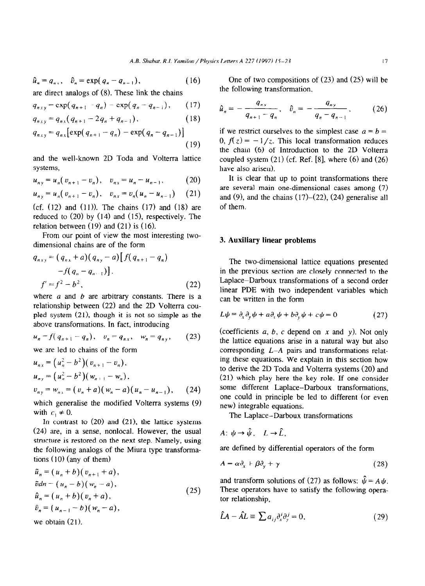$$
\hat{u}_n = q_{n\,x}, \quad \hat{v}_n = \exp(q_n - q_{n-1}), \tag{16}
$$

are direct analogs of (8). These link the chains

$$
q_{nxy} = \exp(q_{n+1} - q_n) - \exp(q_n - q_{n-1}), \qquad (17)
$$

$$
q_{nxy} = q_{n3}(q_{n+1} - 2q_n + q_{n-1}), \qquad (18)
$$

$$
q_{nxy} = q_{nx} \left[ \exp(q_{n+1} - q_n) - \exp(q_n - q_{n-1}) \right]
$$
 (19)

and the well-known 2D Toda and Volterra lattice systems,

$$
u_{ny} = u_n (v_{n+1} - v_n), \quad v_{nx} = u_n - u_{n-1}, \tag{20}
$$

$$
u_{n} = u_n (v_{n+1} - v_n), \quad v_{n} = v_n (u_n - u_{n-1}) \quad (21)
$$

(cf.  $(12)$  and  $(11)$ ). The chains  $(17)$  and  $(18)$  are reduced to  $(20)$  by  $(14)$  and  $(15)$ , respectively. The relation between  $(19)$  and  $(21)$  is  $(16)$ .

From our point of view the most interesting twodimensional chains are of the form

$$
q_{nxy} = (q_{nx} + a)(q_{ny} - a)[f(q_{n+1} - q_n) -f(q_n - q_{n-1})],
$$
  

$$
f' = f^2 - b^2,
$$
 (22)

where  $a$  and  $b$  are arbitrary constants. There is a relationship between (22) and the 2D Volterra coupled system (21), though it is not so simple as the above transformations. In fact, introducing

$$
u_n = f(q_{n+1} - q_n), \quad v_n = q_{nx}, \quad w_n = q_{ny}, \tag{23}
$$

*we are* led to chains of the form

$$
u_{nx} = (u_n^2 - b^2)(v_{n+1} - v_n),
$$
  
\n
$$
u_{ny} = (u_n^2 - b^2)(w_{n+1} - w_n),
$$
  
\n
$$
v_{ny} = w_{n} = (v_n + a)(w_n - a)(u_n - u_{n-1}),
$$
 (24)

which generalise the modified Volterra systems (9) with  $c_1 \neq 0$ .

In contrast to  $(20)$  and  $(21)$ , the lattice systems  $(24)$  are, in a sense, nonlocal. However, the usual structure is restored on the next step. Namely, using the following analogs of the Miura type transformations  $(10)$  (any of them)

$$
\tilde{u}_n = (u_n + b)(v_{n+1} + a),\n\tilde{v}dn = (u_n - b)(w_n - a),\n\hat{u}_n = (u_n + b)(v_n + a),\n\hat{v}_n = (u_{n-1} - b)(w_n - a),
$$
\n(25)

we obtain  $(21)$ .

One of two compositions of (23) and (25) will be the following transformation,

$$
\hat{u}_n = -\frac{q_{n} \cdot p}{q_{n+1} - q_n}, \quad \hat{v}_n = -\frac{q_{n} \cdot p}{q_n - q_{n-1}}, \quad (26)
$$

if we restrict ourselves to the simplest case  $a = b =$ 0,  $f(z) = -1/z$ . This local transformation reduces the chain (6) of Introduction to the 2D Volterra coupled system  $(21)$  (cf. Ref. [8], where  $(6)$  and  $(26)$ have also arisen).

It is clear that up to point transformations there are several main one-dimensional cases among (7) and  $(9)$ , and the chains  $(17)–(22)$ ,  $(24)$  generalise all of them.

# 3. **Auxiliary linear problems**

The two-dimensional lattice equations presented in the previous section are closely connected to the Laplace-Darboux transformations of a second order linear PDE with two independent variables which can be written in the form

$$
L\psi \equiv \partial_x \partial_y \psi + a \partial_x \psi + b \partial_y \psi + c \psi = 0 \qquad (27)
$$

(coefficients  $a, b, c$  depend on  $x$  and  $y$ ). Not only the lattice equations arise in a natural way but also corresponding *L-A* pairs and transformations relating these equations. We explain in this section how to derive the 2D Toda and Volterra systems (20) and (21) which play here the key role. If one consider some different Laplace-Darboux transformations, one could in principle be led to different (or even new) integrable equations.

The Laplace-Darboux transformations

$$
A: \psi \to \hat{\psi}, \quad L \to \hat{L},
$$

*are* defined by differential operators of the form

$$
A = \alpha \partial_x + \beta \partial_y + \gamma \tag{28}
$$

and transform solutions of (27) as follows:  $\hat{\psi} = A \psi$ . *These* operators have to satisfy the following operator relationship,

$$
\hat{L}A - \hat{A}L \equiv \sum a_{ij}\partial_x^j \partial_y^j = 0, \qquad (29)
$$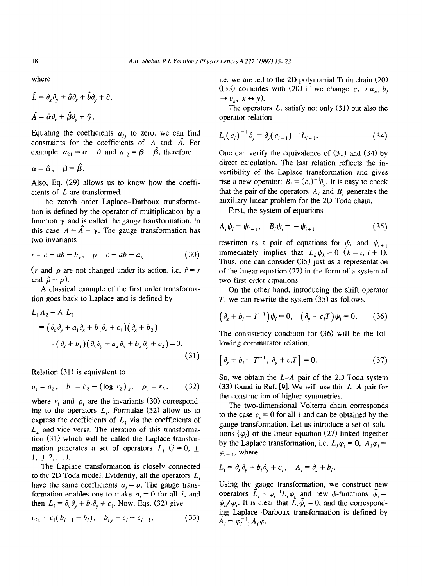where

$$
\hat{L} = \partial_x \partial_y + \hat{a} \partial_x + \hat{b} \partial_y + \hat{c},
$$

$$
\hat{A} = \hat{\alpha} \partial_x + \hat{\beta} \partial_y + \hat{\gamma}.
$$

Equating the coefficients  $a_{ij}$  to zero, we can find constraints for the coefficients of  $A$  and  $\hat{A}$ . For example,  $a_{21} = \alpha - \hat{\alpha}$  and  $a_{12} = \beta - \hat{\beta}$ , therefore

$$
\alpha=\hat{\alpha},\quad \beta=\hat{\beta}.
$$

Also, Eq. (29) allows us to know how the coefficients of L are transformed.

The zeroth order Laplace-Darboux transformation is defined by the operator of multiplication by a function  $\gamma$  and is called the gauge transformation. In this case  $A = \hat{A} = \gamma$ . The gauge transformation has two invariants

$$
r = c - ab - b_y, \quad \rho = c - ab - a_x \tag{30}
$$

 $(r \text{ and } \rho \text{ are not changed under its action, i.e. } \hat{r} = r$ and  $\hat{\rho} = \rho$ ).

A classical example of the first order transformation goes back to Laplace and is defined by

$$
L_1 A_2 - A_1 L_2
$$
  
\n
$$
\equiv (\partial_x \partial_y + a_1 \partial_x + b_1 \partial_y + c_1)(\partial_x + b_2)
$$
  
\n
$$
-(\partial_x + b_1)(\partial_x \partial_y + a_2 \partial_x + b_2 \partial_y + c_2) = 0.
$$
\n(31)

Relation  $(31)$  is equivalent to

$$
a_1 = a_2
$$
,  $b_1 = b_2 - (\log r_2)_{x}$ ,  $\rho_1 = r_2$ , (32)

where  $r_i$  and  $\rho_i$  are the invariants (30) corresponding to the operators  $L_i$ . Formulae (32) allow us to express the coefficients of  $L<sub>1</sub>$  via the coefficients of *L,* and vice versa. The iteration of this transformation (31) which will be called the Laplace transformation generates a set of operators  $L_i$  ( $i = 0, \pm$  $1, \pm 2, \ldots$ ).

The Laplace transformation is closely connected to the 2D Toda model. Evidently, all the operators *Li*  have the same coefficients  $a_i = a$ . The gauge transformation enables one to make  $a_i = 0$  for all i, and then  $L_i = \partial_x \partial_y + b_i \partial_y + c_i$ . Now, Eqs. (32) give

$$
c_{ix} = c_i (b_{i+1} - b_i), \quad b_{iy} = c_i - c_{i-1}, \tag{33}
$$

i.e. we are led to the 2D polynomial Toda chain (20) ((33) coincides with (20) if we change  $c_i \rightarrow u_n$ ,  $b_i$  $\rightarrow v_n$ ,  $x \leftrightarrow y$ ).

The operators  $L_i$  satisfy not only (31) but also the operator relation

$$
L_i(c_i)^{-1} \partial_y = \partial_y(c_{i-1})^{-1} L_{i-1}.
$$
 (34)

One can verify the equivalence of (31) and (34) by direct calculation. The last relation reflects the invertibility of the Laplace transformation and gives rise a new operator:  $B_i = (c_i)^{-1} \partial_{y_i}$ . It is easy to check that the pair of the operators  $A_i$  and  $B_i$  generates the auxillary linear problem for the 2D Toda chain.

First, the system of equations

$$
A_i \psi_i = \psi_{i-1}, \quad B_i \psi_i = -\psi_{i+1} \tag{35}
$$

rewritten as a pair of equations for  $\psi_i$  and  $\psi_{i+1}$ immediately implies that  $L_k \psi_k = 0$   $(k = i, i + 1)$ . Thus, one can consider (35) just as a representation of the linear equation (27) in the form of a system of two first order equations.

On the other hand, introducing the shift operator *T, we* can rewrite the system (35) as follows,

$$
(\partial_x + b_i - T^{-1})\psi_i = 0, \quad (\partial_y + c_i T)\psi_i = 0. \tag{36}
$$

The consistency condition for (36) will be the fol lowing commutator relation,

$$
\left[\partial_x + b_i - T^{-1}, \partial_y + c_i T\right] = 0. \tag{37}
$$

So, we obtain the *L-A* pair of the 2D Toda system (33) found in Ref. [9]. We will use this *L-A* pair for the construction of higher symmetries.

The two-dimensional Volterra chain corresponds to the case  $c_i = 0$  for all i and can be obtained by the gauge transformation. Let us introduce a set of solutions  $\{\varphi_i\}$  of the linear equation (27) linked together by the Laplace transformation, i.e.  $L_i \varphi_i = 0$ ,  $A_i \varphi_i =$  $\varphi_{i-1}$ , where

$$
L_i = \partial_x \partial_y + b_i \partial_y + c_i, \quad A_i = \partial_x + b_i.
$$

Using the *gauge* transformation, we construct new operators  $L_i = \varphi_i^{-1} L_i \varphi_i$  and new  $\psi$ -functions  $\psi_i =$  $\psi_i/\varphi_i$ . It is clear that  $L_i\psi_i = 0$ , and the corresponding Laplace-Darboux transformation is defined by  $A_i = \varphi_{i-1}^{-1} A_i \varphi_i.$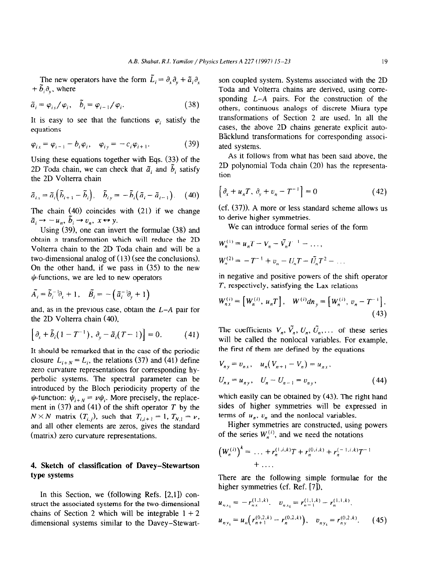The new operators have the form  $\tilde{L}_i = \partial_x \partial_y + \tilde{a}_i \partial_x$  $+ \tilde{b}_i \partial_v$ , where

$$
\tilde{a}_i = \varphi_{i\,y}/\varphi_i, \quad \tilde{b}_i = \varphi_{i-1}/\varphi_i. \tag{38}
$$

It is easy to see that the functions  $\varphi_i$  satisfy the equations

$$
\varphi_{ix} = \varphi_{i-1} - b_i \varphi_i, \quad \varphi_{iy} = -c_i \varphi_{i+1}.
$$
 (39)

Using these equations together with Eqs. (33) of the 2D Toda chain, we can check that  $\tilde{a}_i$  and  $\tilde{b}_i$  satisfy the 2D Volterra chain

$$
\tilde{a}_{i\lambda} = \tilde{a}_i \left( \tilde{b}_{i+1} - \tilde{b}_i \right), \quad \tilde{b}_{i\gamma} = -\tilde{b}_i \left( \tilde{a}_i - \tilde{a}_{i-1} \right). \tag{40}
$$

The chain (40) coincides with (21) if we change  $\tilde{a}_i \rightarrow -u_n, \ \tilde{b}_i \rightarrow v_n, \ x \leftrightarrow y.$ 

Using (39), one can invert the formulae (38) and obtain a transformation which will reduce the 2D Volterra chain to the 2D Toda chain and will be a two-dimensional analog of (13) (see the conclusions). On the other hand, if we pass in (35) to the new  $\psi$ -functions, we are led to new operators

$$
\tilde{A}_i = \tilde{b}_i^{-1} \partial_x + 1, \quad \tilde{B}_i = -(\tilde{a}_i^{-1} \partial_y + 1)
$$

and, as in the previous case, obtain the *L-A* pair for the 2D Volterra chain (4O),

$$
\left[\partial_x+\tilde{b}_i(1-T^{-1}),\,\partial_y-\tilde{a}_i(T-1)\right]=0.\qquad\qquad(41)
$$

It should be remarked that in the case of the periodic closure  $L_{i+N} = L_i$ , the relations (37) and (41) define zero curvature representations for corresponding hyperbolic systems. The spectral parameter can be introduced by the Bloch periodicity property of the  $\psi$ -function:  $\psi_{i+N} = \nu \psi_i$ . More precisely, the replacement in (37) and (41) of the shift operator *T* by the  $N \times N$  matrix  $(T_{i,j})$ , such that  $T_{i,i+1} = 1$ ,  $T_{N,1} = \nu$ , and all other elements are zeros, gives the standard (matrix) zero curvature representations.

## 4. **Sketch of classification of Davey-Stewartson type systems**

In this Section, we (following Refs. [2,1]) construct the associated systems for the two-dimensional chains of Section 2 which will be integrable  $1 + 2$ dimensional systems similar to the Davey-Stewartson coupled system. Systems associated with the 2D Toda and Volterra chains are derived, using corresponding *L-A* pairs. For the construction of the others, continuous analogs of discrete Miura type transformations of Section 2 are used. In all the cases, the above 2D chains generate explicit auto-Bäcklund transformations for corresponding associated systems.

As it follows from what has been said above, the 2D polynomial Toda chain (20) has the representation

$$
\left[\partial_x + u_n T, \partial_y + v_n - T^{-1}\right] = 0 \tag{42}
$$

(cf. (37)). A more or less standard scheme allows us to derive higher symmetries.

We can introduce formal series of the form

$$
W_n^{(1)} = u_n T - V_n - \tilde{V}_n T^{-1} - \dots,
$$
  

$$
W_n^{(2)} = -T^{-1} + v_n - U_n T - \tilde{U}_n T^2 - \dots
$$

in negative and positive powers of the shift operator *T,* respectively, satisfying the Lax relations

$$
W_{nx}^{(i)} = [W_n^{(i)}, u_n T], \quad W^{(i)} d n_y = [W_n^{(i)}, v_n - T^{-1}].
$$
\n(43)

The coefficients  $V_n$ ,  $\tilde{V}_n$ ,  $U_n$ ,  $\tilde{U}_n$ ,... of these series will be called the nonlocal variables. For example, the first of them are defined by the equations

$$
V_{ny} = v_{nx}, \quad u_n (V_{n+1} - V_n) = u_{nx},
$$
  
\n
$$
U_{nx} = u_{ny}, \quad U_n - U_{n-1} = v_{ny},
$$
\n(44)

which easily can be obtained by (43). The right hand sides of higher symmetries will be expressed in terms of  $u_n$ ,  $v_n$  and the nonlocal variables.

Higher symmetries are constructed, using powers of the series  $W_n^{(i)}$ , and we need the notations

$$
(W_n^{(i)})^k = \ldots + r_n^{(1,i,k)}T + r_n^{(0,i,k)} + r_n^{(-1,i,k)}T^{-1} + \ldots
$$

There are the following simple formulae for the higher symmetries (cf. Ref. [7]),

$$
u_{n_{x_k}} = -r_{n_x}^{(1,1,k)}, \quad v_{n_{x_k}} = r_{n-1}^{(1,1,k)} - r_n^{(1,1,k)},
$$
  

$$
u_{n_{y_k}} = u_n \left( r_{n+1}^{(0,2,k)} - r_n^{(0,2,k)} \right), \quad v_{n_{y_k}} = r_{n_{y}}^{(0,2,k)}.
$$
 (45)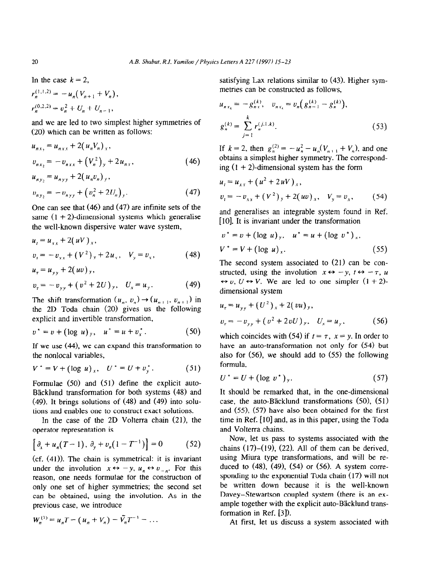In the case  $k = 2$ ,

$$
r_n^{(1,1,2)} = -u_n(V_{n+1} + V_n),
$$
  

$$
r_n^{(0,2,2)} = v_n^2 + U_n + U_{n-1},
$$

and we are led to two simplest higher symmetries of (20) which can be written as follows:

$$
u_{nx_2} = u_{nxx} + 2(u_n V_n)_x,
$$
  
\n
$$
v_{nx_2} = -v_{nxx} + (V_n^2)_y + 2u_{nx},
$$
\n(46)

$$
u_{n y_2} = u_{n y y} + 2(u_n u_n) y,
$$
  
\n
$$
v_{n y_2} = -v_{n y y} + (v_n^2 + 2U_n) y.
$$
\n(47)

One can see that (46) and (47) are infinite sets of the same  $(1 + 2)$ -dimensional systems which generalise the well-known dispersive water wave system,

$$
u_{t} = u_{xx} + 2(uV)_{x},
$$
  
\n
$$
v_{t} = -v_{xx} + (V^{2})_{y} + 2u_{x}, \quad V_{y} = v_{x},
$$
\n(48)

$$
u_{\tau} = u_{yy} + 2(uv)_{y},
$$
  
\n
$$
v_{\tau} = -v_{yy} + (v^{2} + 2U)_{y}, \quad U_{x} = u_{y}.
$$
 (49)

The shift transformation  $(u_n, v_n) \rightarrow (u_{n+1}, v_{n+1})$  in the 2D Toda chain (20) gives us the following explicit and invertible transformation,

$$
v^* = v + (\log u)_y, \quad u^* = u + v_x^* \,. \tag{50}
$$

If we use (44), we can expand this transformation to the nonlocal variables,

$$
V^* = V + (\log u)_x, \quad U^* = U + v_y^* \,. \tag{51}
$$

Formulae (50) and (51) define the explicit auto-Bäcklund transformation for both systems (48) and (49). It brings solutions of (48) and (49) into solutions and enables one to construct exact solutions.

In the case of the 2D Volterra chain  $(21)$ , the operator representation is

$$
\left[\partial_x + u_n(T-1), \ \partial_y + v_n(1-T^{-1})\right] = 0 \tag{52}
$$

(cf. (41)). The chain is symmetrical: it is invariant under the involution  $x \leftrightarrow -y$ ,  $u_n \leftrightarrow v_{-n}$ . For this reason, one needs formulae for the construction of only one set of higher symmetries; the second set can be obtained, using the involution. As in the previous case, we introduce

$$
W_n^{(1)} = u_n T - (u_n + V_n) - \tilde{V}_n T^{-1} - \dots
$$

satisfying Lax relations similar to (43). Higher symmetries can be constructed as follows,

$$
u_{nx_k} = -g_{nx}^{(k)}, \quad v_{nx_k} = v_n (g_{n-1}^{(k)} - g_n^{(k)}),
$$
  
\n
$$
g_n^{(k)} = \sum_{j=1}^k r_n^{(j,1,k)}.
$$
\n(53)

If  $k = 2$ , then  $g_n^{(2)} = -u_n^2 - u_n(V_{n+1} + V_n)$ , and one obtains a simplest higher symmetry. The corresponding  $(1 + 2)$ -dimensional system has the form

$$
u_t = u_{xx} + (u^2 + 2uV)_x,
$$
  
\n
$$
v_t = -v_{xx} + (V^2)_y + 2(uv)_x, \quad V_y = v_x,
$$
 (54)

and generalises an integrable system found in Ref. [10]. It is invariant under the transformation

$$
v^* = v + (\log u)_y, \quad u^* = u + (\log v^*)_x, V^* = V + (\log u)_x.
$$
 (55)

The second system associated to  $(21)$  can be constructed, using the involution  $x \leftrightarrow -y$ ,  $t \leftrightarrow -\tau$ , u  $\leftrightarrow v$ ,  $U \leftrightarrow V$ . We are led to one simpler  $(1 + 2)$ dimensional system

$$
u_{\tau} = u_{yy} + (U^2)_{x} + 2(vu)_{y},
$$
  

$$
v_{\tau} = -v_{yy} + (v^2 + 2vU)_{y}, \quad U_{x} = u_{y},
$$
 (56)

which coincides with (54) if  $t = \tau$ ,  $x = y$ . In order to have an auto-transformation not only for (54) but also for (56), we should add to (55) the following formula,

$$
U^* = U + (\log v^*)_y. \tag{57}
$$

It should be remarked that, in the one-dimensional case, the auto-Bäcklund transformations  $(50)$ ,  $(51)$ and (55). (57) have also been obtained for the first time in Ref. [10] and, as in this paper, using the Toda and Volterra chains.

Now, let us pass to systems associated with the chains  $(17)$ – $(19)$ ,  $(22)$ . All of them can be derived, using Miura type transformations, and will be reduced to  $(48)$ ,  $(49)$ ,  $(54)$  or  $(56)$ . A system corresponding to the exponential Toda chain (17) will not be written down because it is the well-known Davey-Stewartson coupled system (there is an example together with the explicit auto-Bäcklund transformation in Ref. [3]).

At first, let us discuss a system associated with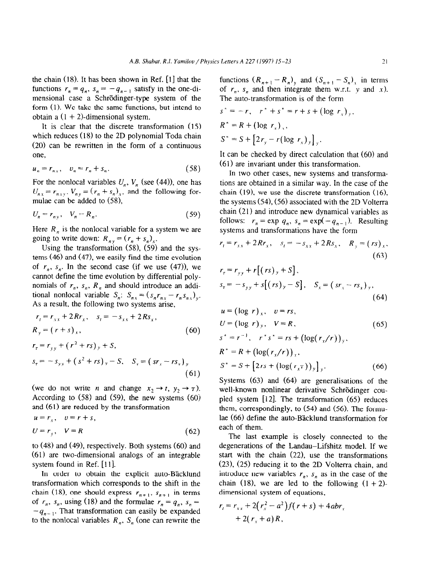the chain  $(18)$ . It has been shown in Ref.  $[1]$  that the functions  $r_n = q_n$ ,  $s_n = -q_{n-1}$  satisfy in the one-dimensional case a Schrödinger-type system of the form (1). We take the same functions, but intend to obtain a  $(1 + 2)$ -dimensional system.

It is clear that the discrete transformation (15) which reduces (18) to the 2D polynomial Toda chain (20) can be rewritten in the form of a continuous one.

$$
u_n = r_{n} , \quad v_n = r_n + s_n . \tag{58}
$$

For the nonlocal variables  $U_n$ ,  $V_n$  (see (44)), one has  $U_{nx} = r_{nxy}$ ,  $V_{ny} = (r_n + s_n)_x$ , and the following formulae can be added to  $(58)$ ,

$$
U_n = r_{n\gamma}, \quad V_n = R_n. \tag{59}
$$

Here  $R_n$  is the nonlocal variable for a system we are going to write down:  $R_{ny} = (r_n + s_n)_x$ .

Using the transformation  $(58)$ ,  $(59)$  and the systems  $(46)$  and  $(47)$ , we easily find the time evolution of  $r_n$ ,  $s_n$ . In the second case (if we use (47)), we cannot define the time evolution by differential polynomials of  $r_n$ ,  $s_n$ ,  $R_n$  and should introduce an additional nonlocal variable  $S_n$ :  $S_{n,x} = (s_n r_{n,x} - r_n s_{n,x})_y$ . As a result, the following two systems arise,

$$
r_{t} = r_{xx} + 2Rr_{x}, \quad s_{t} = -s_{xx} + 2Rs_{x},
$$
  
\n
$$
R_{y} = (r+s)_{x}, \tag{60}
$$

$$
r_{\tau} = r_{yy} + (r^2 + rs)_y + S,
$$
  
\n
$$
s_{\tau} = -s_{yy} + (s^2 + rs)_y - S, \quad S_x = (sr_x - rs_x)_y
$$
\n(61)

(we do not write *n* and change  $x_2 \rightarrow t$ ,  $y_2 \rightarrow \tau$ ). According to  $(58)$  and  $(59)$ , the new systems  $(60)$ and  $(61)$  are reduced by the transformation

$$
u = r_x, \quad v = r + s,
$$
  

$$
U = r_y, \quad V = R
$$
 (62)

to (48) and (49), respectively. Both systems (60) and (61) are two-dimensional analogs of an integrable system found in Ref. [11].

In order to obtain the explicit auto-Bäcklund transformation which corresponds to the shift in the chain (18), one should express  $r_{n+1}$ ,  $s_{n+1}$  in terms of  $r_n$ ,  $s_n$ , using (18) and the formulae  $r_n = q_n$ ,  $s_n =$  $-q_{n-1}$ . That transformation can easily be expanded to the nonlocal variables  $R_n$ ,  $S_n$  (one can rewrite the functions  $(R_{n+1} - R_n)$ , and  $(S_{n+1} - S_n)$ , in terms of  $r_n$ ,  $s_n$  and then integrate them w.r.t. y and x). The auto-transformation is of the form

$$
s^* = -r, \quad r^* + s^* = r + s + (\log r_x)_y,
$$
  
\n
$$
R^* = R + (\log r_x)_x,
$$
  
\n
$$
S^* = S + [2r_y - r(\log r_x)_y]_y.
$$

It can be checked by direct calculation that (60) and (61) are invariant under this transformation.

In two other cases, new systems and transformations are obtained in a similar way. In the case of the chain  $(19)$ , we use the discrete transformation  $(16)$ . the systems  $(54)$ ,  $(56)$  associated with the 2D Volterra chain (21) and introduce new dynamical variables as follows:  $r_n = \exp q_n$ ,  $s_n = \exp(-q_{n-1})$ . Resulting systems and transformations have the form

$$
r_{t} = r_{xx} + 2Rr_{x}, \quad s_{t} = -s_{xx} + 2Rs_{x}, \quad R_{y} = (rs)_{x},
$$
\n(63)

$$
r_{\tau} = r_{yy} + r[(rs)_y + S],
$$
  
\n
$$
s_{\tau} = -s_{yy} + s[(rs)_y - S], \quad S_x = (sr_x - rs_x)_y,
$$
\n(64)

$$
u = (\log r)_x, v = rs,
$$
  
\n $U = (\log r)_y, V = R,$  (65)

$$
s^* = r^{-1}, \quad r^* s^* = rs + (\log(r_x/r))_y,
$$
  
\n
$$
R^* = R + (\log(r_x/r))_x,
$$
  
\n
$$
S^* = S + [2rs + (\log(r_x \tau))_y]_y.
$$
\n(66)

Systems (63) and (64) are generalisations of the well-known nonlinear derivative Schrödinger coupled system  $[12]$ . The transformation  $(65)$  reduces them, correspondingly, to (54) and (56). The formulae (66) define the auto-B'acklund transformation for each of them.

The last example is closely connected to the degenerations of the Landau-Lifshitz model. If we start with the chain  $(22)$ , use the transformations  $(23)$ ,  $(25)$  reducing it to the 2D Volterra chain, and introduce new variables  $r_n$ ,  $s_n$  as in the case of the chain (18), we are led to the following  $(1 + 2)$ dimensional system of equations,

$$
r_{t} = r_{xx} + 2(r_{x}^{2} - a^{2})f(r+s) + 4abr_{x}
$$
  
+ 2(r\_{x} + a)R,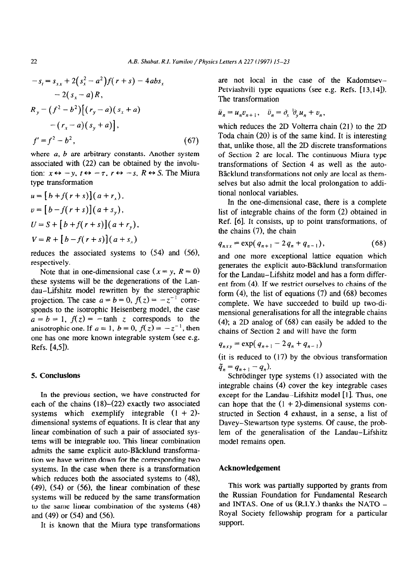$$
-s_t = s_{xx} + 2(s_x^2 - a^2)f(r+s) - 4abs_x
$$
  
\n
$$
-2(s_x - a)R,
$$
  
\n
$$
R_y = (f^2 - b^2)[(r_y - a)(s_x + a)
$$
  
\n
$$
-(r_x - a)(s_y + a)],
$$
  
\n
$$
f' = f^2 - b^2,
$$
\n(67)

where *a*, *b* are arbitrary constants. Another system associated with (22) can be obtained by the involution:  $x \leftrightarrow -y$ ,  $t \leftrightarrow -\tau$ ,  $r \leftrightarrow -s$ ,  $R \leftrightarrow S$ . The Miura type transformation

$$
u = [b + f(r + s)](a + r_x),
$$
  
\n
$$
v = [b - f(r + s)](a + s_y),
$$
  
\n
$$
U = S + [b + f(r + s)](a + r_y),
$$
  
\n
$$
V = R + [b - f(r + s)](a + s_x)
$$

reduces the associated systems to (54) and **(56),**  respectively.

Note that in one-dimensional case ( $x = y$ ,  $R = 0$ ) *these* systems will be the degenerations of the Landau-Lifshitz model rewritten by the stereographic projection. The case  $a = b = 0$ ,  $f(z) = -z^{-1}$  corresponds to the isotrophic Heisenberg model, the case  $a = b = 1$ ,  $f(z) = -\tanh z$  corresponds to the anisotrophic one. If  $a = 1$ ,  $b = 0$ ,  $f(z) = -z^{-1}$ , then one has one more known integrable system (see e.g. Refs. [4,5]).

## 5. **Conclusions**

In the previous section, we have constructed for each of the chains (18)–(22) exactly two associated systems which exemplify integrable  $(1 + 2)$ dimensional systems of equations. It is clear that any linear combination of such a pair of associated systems will be integrable too. This linear combination admits the same explicit auto-Bäcklund transformation we have written down for the corresponding two systems. In the case when there is a transformation which reduces both the associated systems to (48),  $(49)$ ,  $(54)$  or  $(56)$ , the linear combination of these systems will be reduced by the same transformation to the same linear combination of the systems (48) and (49) or (54) and (56).

It is known that the Miura type transformations

are not local in the case of the Kadomtsev-Petviashvili type equations (see e.g. Refs. [13,14]). The transformation

$$
\tilde{u}_n = u_n v_{n+1}, \quad \tilde{v}_n = \partial_x^{-1} \partial_y u_n + v_n,
$$

which reduces the 2D Volterra chain (21) to the 2D Toda chain (20) is of the same kind. It is interesting that, unlike those, all the 2D discrete transformations of Section 2 are local. The continuous Miura type transformations of Section 4 as well as the auto-Bäcklund transformations not only are local as themselves but also admit the local prolongation to additional nonlocal variables.

In the one-dimensional case, there is a complete list of integrable chains of the form (2) obtained in Ref. [6]. It consists, up to point transformations, of the chains (7), the chain

$$
q_{nxx} = \exp(q_{n+1} - 2q_n + q_{n-1}), \qquad (68)
$$

and one more exceptional lattice equation which generates the explicit auto-Bäcklund transformation for the Landau-Lifshitz model and has a form different from (4). If we restrict ourselves to chains of the form  $(4)$ , the list of equations  $(7)$  and  $(68)$  becomes complete. We have succeeded to build up two-dimensional generalisations for all the integrable chains (4); a 2D analog of (68) can easily be added to the chains of Section 2 and will have the form

$$
q_{nxy} = \exp(q_{n+1} - 2q_n + q_{n-1})
$$

(it is reduced to (17) by the obvious transformation  $\tilde{q}_n = q_{n+1} - q_n$ ).

Schrödinger type systems (1) associated with the integrable chains (4) cover the key integrable cases except for the Landau-Lifshitz model [1]. Thus, one can hope that the  $(1 + 2)$ -dimensional systems constructed in Section 4 exhaust, in a sense, a list of Davey-Stewartson type systems. Of cause, the problem of the generalisation of the Landau-Lifshitz model remains open.

## **Acknowledgement**

This work was partially supported by grants from the Russian Foundation for Fundamental Research and INTAS. One of us  $(R.I.Y.)$  thanks the NATO -Royal Society fellowship program for a particular support.